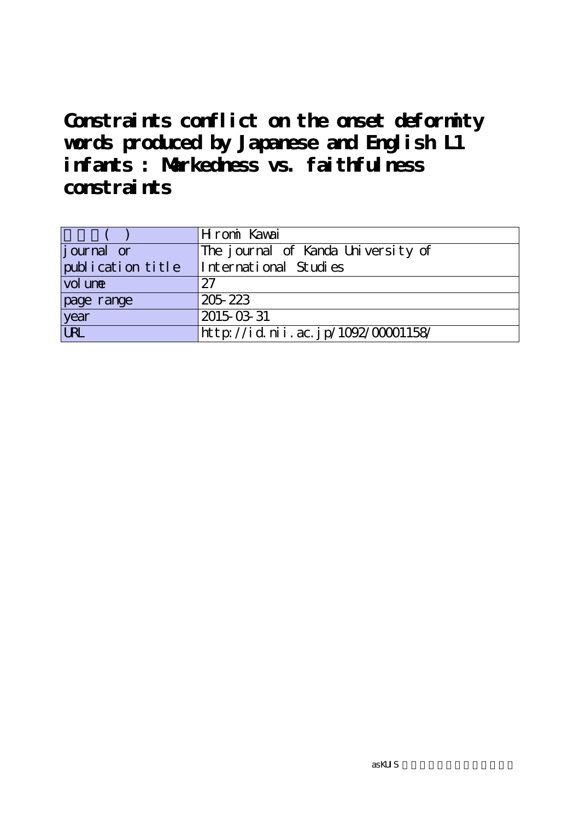**Constraints conflict on the onset deformity words produced by Japanese and English L1 infants : Markedness vs. faithfulness constraints**

|                   | Hromi Kawai                        |
|-------------------|------------------------------------|
| journal or        | The journal of Kanda University of |
| publication title | International Studies              |
| $\vert$ vol une   | 27                                 |
| page range        | 205 223                            |
| year              | 2015-03-31                         |
| <b>URL</b>        | http://id.nii.ac.jp/1092/00001158/ |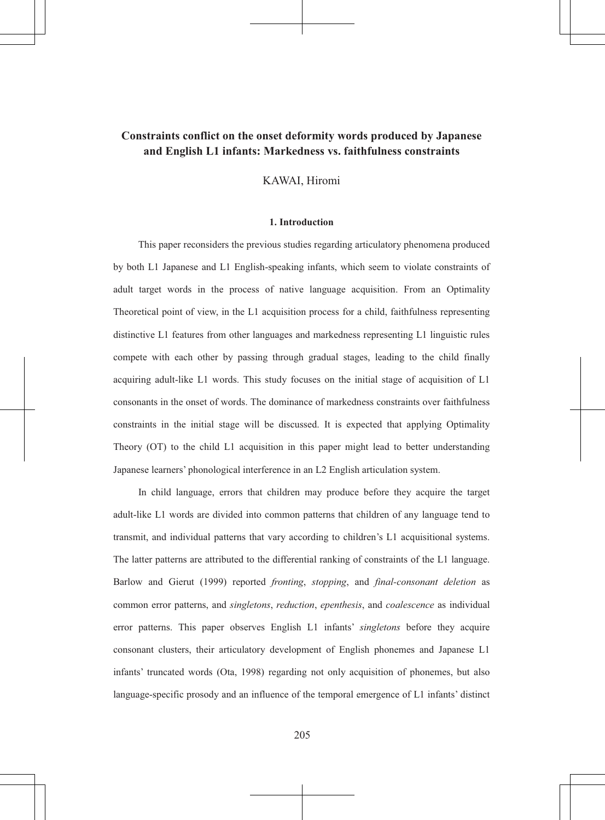# Constraints conflict on the onset deformity words produced by Japanese and English L1 infants: Markedness vs. faithfulness constraints

KAWAI, Hiromi

## 1. Introduction

This paper reconsiders the previous studies regarding articulatory phenomena produced by both L1 Japanese and L1 English-speaking infants, which seem to violate constraints of adult target words in the process of native language acquisition. From an Optimality Theoretical point of view, in the L1 acquisition process for a child, faithfulness representing distinctive L1 features from other languages and markedness representing L1 linguistic rules compete with each other by passing through gradual stages, leading to the child finally acquiring adult-like L1 words. This study focuses on the initial stage of acquisition of L1 consonants in the onset of words. The dominance of markedness constraints over faithfulness constraints in the initial stage will be discussed. It is expected that applying Optimality Theory (OT) to the child L1 acquisition in this paper might lead to better understanding Japanese learners' phonological interference in an L2 English articulation system.

In child language, errors that children may produce before they acquire the target adult-like L1 words are divided into common patterns that children of any language tend to transmit, and individual patterns that vary according to children's L1 acquisitional systems. The latter patterns are attributed to the differential ranking of constraints of the L1 language. Barlow and Gierut (1999) reported *fronting*, *stopping*, and *final-consonant deletion* as common error patterns, and *singletons, reduction, epenthesis*, and *coalescence* as individual error patterns. This paper observes English L1 infants' singletons before they acquire consonant clusters, their articulatory development of English phonemes and Japanese L1 infants' truncated words (Ota, 1998) regarding not only acquisition of phonemes, but also language-specific prosody and an influence of the temporal emergence of L1 infants' distinct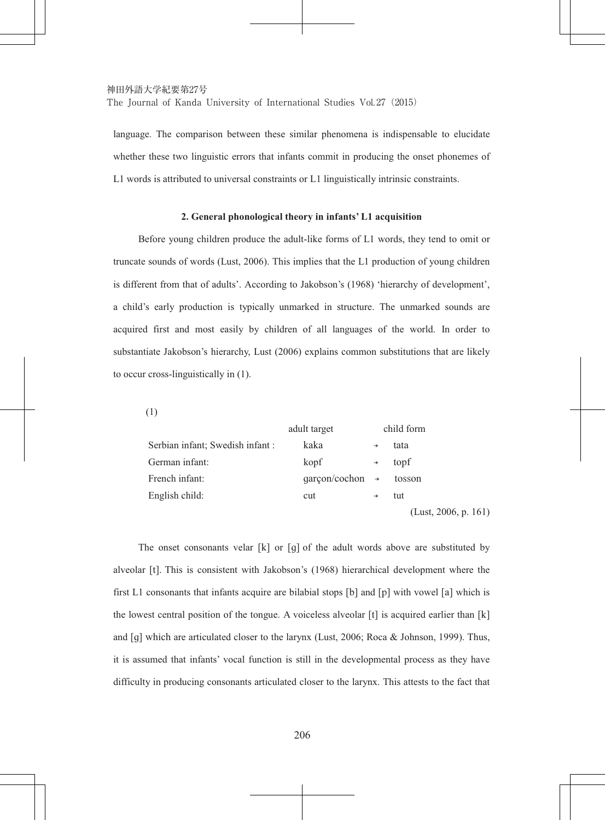language. The comparison between these similar phenomena is indispensable to elucidate whether these two linguistic errors that infants commit in producing the onset phonemes of L1 words is attributed to universal constraints or L1 linguistically intrinsic constraints.

### 2. General phonological theory in infants' L1 acquisition

Before young children produce the adult-like forms of L1 words, they tend to omit or truncate sounds of words (Lust, 2006). This implies that the L1 production of young children is different from that of adults'. According to Jakobson's (1968) 'hierarchy of development', a child's early production is typically unmarked in structure. The unmarked sounds are acquired first and most easily by children of all languages of the world. In order to substantiate Jakobson's hierarchy. Lust (2006) explains common substitutions that are likely to occur cross-linguistically in  $(1)$ .

 $(1)$ 

|                                  | adult target                |               | child form                              |
|----------------------------------|-----------------------------|---------------|-----------------------------------------|
| Serbian infant; Swedish infant : | kaka                        |               | tata                                    |
| German infant:                   | kopf                        | $\rightarrow$ | topf                                    |
| French infant:                   | $qarcon/cochon \rightarrow$ |               | tosson                                  |
| English child:                   | cut                         | $\rightarrow$ | tut                                     |
|                                  |                             |               | .<br>$\sim$ $\sim$ $\sim$ $\sim$ $\sim$ |

 $(Lust, 2006, p. 161)$ 

The onset consonants velar  $[k]$  or  $[q]$  of the adult words above are substituted by alveolar [t]. This is consistent with Jakobson's (1968) hierarchical development where the first L1 consonants that infants acquire are bilabial stops [b] and [p] with vowel [a] which is the lowest central position of the tongue. A voiceless alveolar [t] is acquired earlier than [k] and [q] which are articulated closer to the larynx (Lust, 2006; Roca & Johnson, 1999). Thus, it is assumed that infants' vocal function is still in the developmental process as they have difficulty in producing consonants articulated closer to the larynx. This attests to the fact that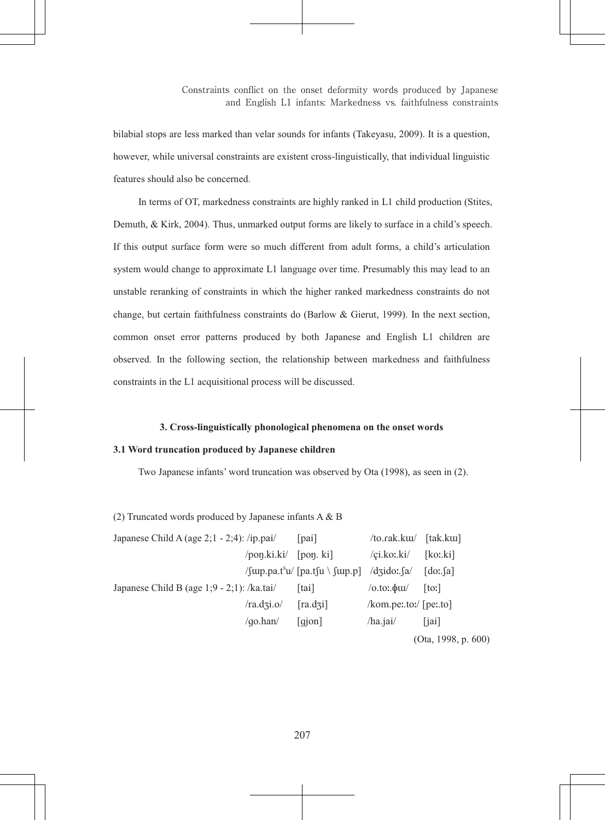bilabial stops are less marked than velar sounds for infants (Takeyasu, 2009). It is a question, however, while universal constraints are existent cross-linguistically, that individual linguistic features should also be concerned.

In terms of OT, markedness constraints are highly ranked in L1 child production (Stites, Demuth, & Kirk, 2004). Thus, unmarked output forms are likely to surface in a child's speech. If this output surface form were so much different from adult forms, a child's articulation system would change to approximate L1 language over time. Presumably this may lead to an unstable reranking of constraints in which the higher ranked markedness constraints do not change, but certain faithfulness constraints do (Barlow  $\&$  Gierut, 1999). In the next section, common onset error patterns produced by both Japanese and English L1 children are observed. In the following section, the relationship between markedness and faithfulness constraints in the L1 acquisitional process will be discussed.

## 3. Cross-linguistically phonological phenomena on the onset words

## 3.1 Word truncation produced by Japanese children

Two Japanese infants' word truncation was observed by Ota (1998), as seen in (2).

(2) Truncated words produced by Japanese infants  $A & B$ 

| Japanese Child A (age $2;1 - 2;4$ ): /ip.pai/ |                | [pai]                                                              | /to.rak.kuu/ [tak.kuu]   |                                     |
|-----------------------------------------------|----------------|--------------------------------------------------------------------|--------------------------|-------------------------------------|
|                                               | /pon.ki.ki/    | [pon. k <sub>i</sub> ]                                             | /ci.ko:.ki/              | [koː.ki]                            |
|                                               |                | $\gamma$ (up.pa.t <sup>s</sup> u/ [pa.tsu] \ (up.p] \ /dzido:\ sa/ |                          | $\lceil \text{do:} \lceil a \rceil$ |
| Japanese Child B (age $1:9 - 2:1$ ): /ka.tai/ |                | [tai]                                                              | $\sqrt{0.101.4}$         | [t <sub>o</sub>                     |
|                                               | /ra.dzi.o/     | [ra.dzi]                                                           | $kom.$ per.to:/ [per.to] |                                     |
|                                               | $\alpha$ .han/ | $\lceil$ qjon $\rceil$                                             | $/ha$ .jai $/$           | [jai]                               |
|                                               |                |                                                                    |                          | (Ota, 1998, p. $600$ )              |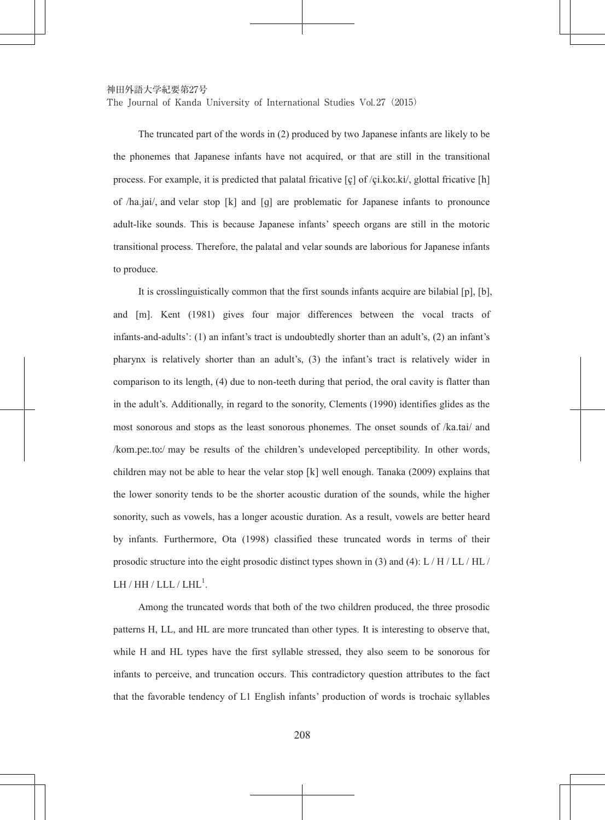神田外語大学紀要第27号

The Journal of Kanda University of International Studies Vol. 27 (2015)

The truncated part of the words in (2) produced by two Japanese infants are likely to be the phonemes that Japanese infants have not acquired, or that are still in the transitional process. For example, it is predicted that palatal fricative  $[c]$  of  $/ci.ko:k'$ , glottal fricative  $[h]$ of  $/ha$ , jai, and velar stop  $[k]$  and  $[q]$  are problematic for Japanese infants to pronounce adult-like sounds. This is because Japanese infants' speech organs are still in the motoric transitional process. Therefore, the palatal and velar sounds are laborious for Japanese infants to produce.

It is crosslinguistically common that the first sounds infants acquire are bilabial [p], [b], and [m]. Kent (1981) gives four major differences between the vocal tracts of infants-and-adults': (1) an infant's tract is undoubtedly shorter than an adult's, (2) an infant's pharynx is relatively shorter than an adult's,  $(3)$  the infant's tract is relatively wider in comparison to its length, (4) due to non-teeth during that period, the oral cavity is flatter than in the adult's. Additionally, in regard to the sonority, Clements (1990) identifies glides as the most sonorous and stops as the least sonorous phonemes. The onset sounds of /ka.tai/ and  $\ell$  /kom.pe:.to:/ may be results of the children's undeveloped perceptibility. In other words, children may not be able to hear the velar stop  $\lceil k \rceil$  well enough. Tanaka (2009) explains that the lower sonority tends to be the shorter acoustic duration of the sounds, while the higher sonority, such as vowels, has a longer acoustic duration. As a result, vowels are better heard by infants. Furthermore, Ota (1998) classified these truncated words in terms of their prosodic structure into the eight prosodic distinct types shown in (3) and (4):  $L/H/L/L/H$ . LH / HH / LLL / LHL $^1$ .

Among the truncated words that both of the two children produced, the three prosodic patterns H, LL, and HL are more truncated than other types. It is interesting to observe that, while H and HL types have the first syllable stressed, they also seem to be sonorous for infants to perceive, and truncation occurs. This contradictory question attributes to the fact that the favorable tendency of L1 English infants' production of words is trochaic syllables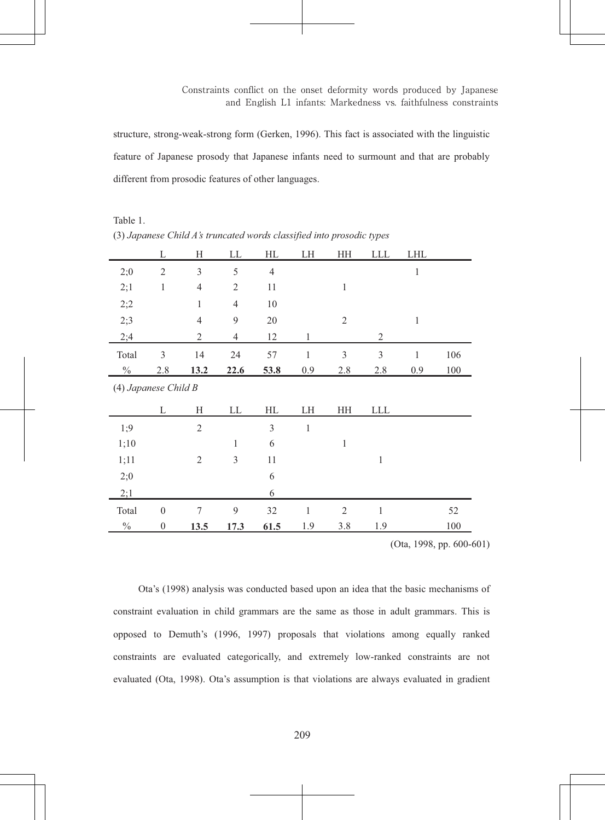structure, strong-weak-strong form (Gerken, 1996). This fact is associated with the linguistic feature of Japanese prosody that Japanese infants need to surmount and that are probably different from prosodic features of other languages.

|       | (3) oupanese chara 115 a ancarea words crassifica mio prosourc types |                |                |                |              |                |              |              |     |
|-------|----------------------------------------------------------------------|----------------|----------------|----------------|--------------|----------------|--------------|--------------|-----|
|       | L                                                                    | Η              | LL             | HL             | LH           | HH             | <b>LLL</b>   | LHL          |     |
| 2:0   | $\overline{2}$                                                       | 3              | 5              | $\overline{4}$ |              |                |              | 1            |     |
| 2;1   | 1                                                                    | $\overline{4}$ | $\overline{c}$ | 11             |              | $\mathbf{1}$   |              |              |     |
| 2;2   |                                                                      | $\mathbf{1}$   | $\overline{4}$ | 10             |              |                |              |              |     |
| 2;3   |                                                                      | $\overline{4}$ | 9              | 20             |              | $\overline{2}$ |              | $\mathbf{1}$ |     |
| 2;4   |                                                                      | $\mathfrak{2}$ | $\overline{4}$ | 12             | 1            |                | 2            |              |     |
| Total | 3                                                                    | 14             | 24             | 57             | $\mathbf{1}$ | 3              | 3            | $\mathbf{1}$ | 106 |
| $\%$  | 2.8                                                                  | 13.2           | 22.6           | 53.8           | 0.9          | 2.8            | 2.8          | 0.9          | 100 |
|       | (4) Japanese Child B                                                 |                |                |                |              |                |              |              |     |
|       | L                                                                    | H              | LL             | HL             | LH           | HH             | <b>LLL</b>   |              |     |
| 1:9   |                                                                      | $\sqrt{2}$     |                | 3              | $\mathbf{1}$ |                |              |              |     |
| 1;10  |                                                                      |                | $\mathbf{1}$   | 6              |              | $\mathbf{1}$   |              |              |     |
| 1;11  |                                                                      | $\mathfrak{2}$ | 3              | 11             |              |                | $\mathbf{1}$ |              |     |
| 2;0   |                                                                      |                |                | 6              |              |                |              |              |     |
| 2;1   |                                                                      |                |                | 6              |              |                |              |              |     |
| Total | $\mathbf{0}$                                                         | $\tau$         | 9              | 32             | $\mathbf{1}$ | $\mathfrak{2}$ | $\mathbf{1}$ |              | 52  |
| $\%$  | $\mathbf{0}$                                                         | 13.5           | 17.3           | 61.5           | 1.9          | 3.8            | 1.9          |              | 100 |

Table 1 (3) Jananese Child A's truncated words classified into prosodic types

(Ota, 1998, pp.  $600-601$ )

Ota's (1998) analysis was conducted based upon an idea that the basic mechanisms of constraint evaluation in child grammars are the same as those in adult grammars. This is opposed to Demuth's (1996, 1997) proposals that violations among equally ranked constraints are evaluated categorically, and extremely low-ranked constraints are not evaluated (Ota, 1998). Ota's assumption is that violations are always evaluated in gradient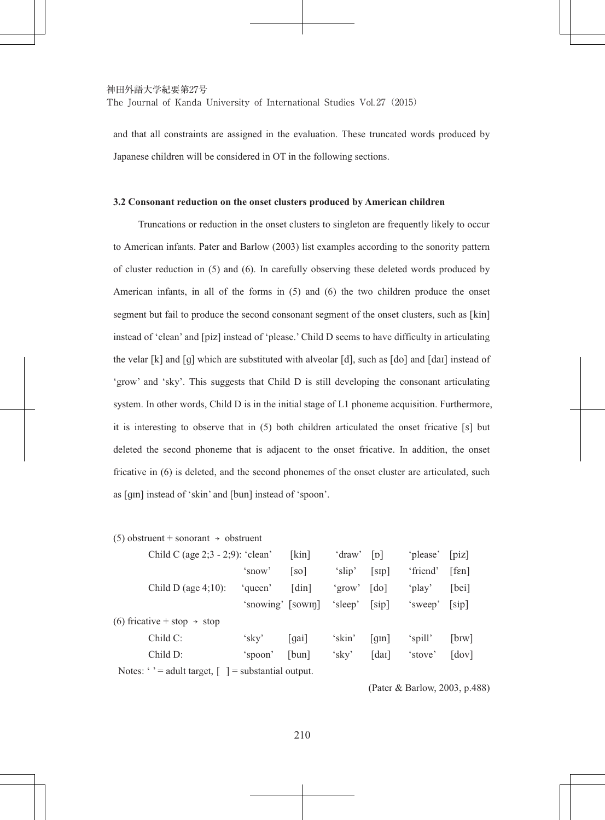The Journal of Kanda University of International Studies Vol. 27 (2015)

and that all constraints are assigned in the evaluation. These truncated words produced by Japanese children will be considered in OT in the following sections.

### **3.2 Consonant reduction on the onset clusters produced by American children**

Truncations or reduction in the onset clusters to singleton are frequently likely to occur to American infants. Pater and Barlow (2003) list examples according to the sonority pattern of cluster reduction in  $(5)$  and  $(6)$ . In carefully observing these deleted words produced by American infants, in all of the forms in  $(5)$  and  $(6)$  the two children produce the onset segment but fail to produce the second consonant segment of the onset clusters, such as [kin] instead of 'clean' and [piz] instead of 'please.' Child D seems to have difficulty in articulating the velar  $[k]$  and  $[q]$  which are substituted with alveolar  $[d]$ , such as  $[do]$  and  $[dar]$  instead of 'grow' and 'sky'. This suggests that Child D is still developing the consonant articulating system. In other words, Child D is in the initial stage of  $L1$  phoneme acquisition. Furthermore, it is interesting to observe that in (5) both children articulated the onset fricative [s] but deleted the second phoneme that is adiacent to the onset fricative. In addition, the onset fricative in (6) is deleted, and the second phonemes of the onset cluster are articulated, such as [qm] instead of 'skin' and [bun] instead of 'spoon'.

#### $(5)$  obstruent + sonorant  $\rightarrow$  obstruent

| Child C (age $2:3 - 2:9$ ): 'clean'                                                |                   | [kin]                 | 'draw'        | $\lceil \mathbf{D} \rceil$ | 'please' | $[\text{piz}]$          |
|------------------------------------------------------------------------------------|-------------------|-----------------------|---------------|----------------------------|----------|-------------------------|
|                                                                                    | 'snow'            | $\lceil$ so $\rceil$  | 'slip'        | [sip]                      | 'friend' | [fen]                   |
| Child D (age $4:10$ ):                                                             | 'queen'           | $\lceil \dim \rceil$  | 'grow'        | $\lceil$ do $\rceil$       | 'play'   | [bei]                   |
|                                                                                    | 'snowing' [sowin] |                       | 'sleep' [sip] |                            | 'sweep'  | [sip]                   |
| (6) fricative + stop $\rightarrow$ stop                                            |                   |                       |               |                            |          |                         |
| $ChildC$ :                                                                         | 'sky'             | $\lceil$ qai $\rceil$ | 'skin'        | $\lceil q \text{m} \rceil$ | 'spill'  | $[$ b <sub>IW</sub> $]$ |
| Child D:                                                                           | 'spoon'           | [bum]                 | 'sky'         | [daɪ]                      | 'stove'  | [dov]                   |
| Notes: $\cdot$ $\cdot$ = adult target, $\lceil \cdot \rceil$ = substantial output. |                   |                       |               |                            |          |                         |

(Pater & Barlow, 2003, p.488)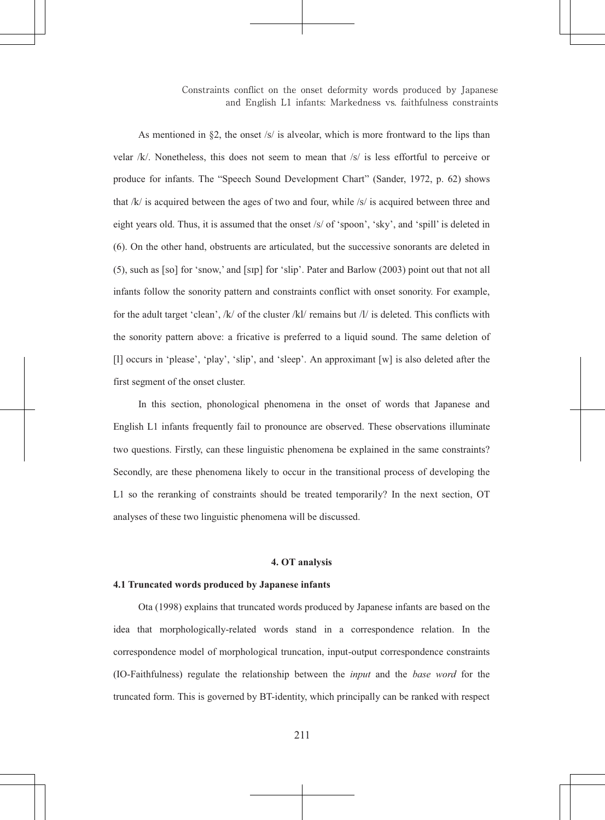As mentioned in 82, the onset /s/ is alveolar, which is more frontward to the lips than velar /k/. Nonetheless, this does not seem to mean that /s/ is less effortful to perceive or produce for infants. The "Speech Sound Development Chart" (Sander, 1972, p. 62) shows that  $/k$  is acquired between the ages of two and four, while  $/s$  is acquired between three and eight years old. Thus, it is assumed that the onset /s/ of 'spoon', 'sky', and 'spill' is deleted in (6). On the other hand, obstruents are articulated, but the successive sonorants are deleted in (5), such as [so] for 'snow,' and [sɪp] for 'slip'. Pater and Barlow (2003) point out that not all infants follow the sonority pattern and constraints conflict with onset sonority. For example, for the adult target 'clean', /k/ of the cluster /kl/ remains but /l/ is deleted. This conflicts with the sonority pattern above: a fricative is preferred to a liquid sound. The same deletion of [1] occurs in 'please', 'play', 'slip', and 'sleep'. An approximant  $[w]$  is also deleted after the first segment of the onset cluster.

In this section, phonological phenomena in the onset of words that Japanese and English L1 infants frequently fail to pronounce are observed. These observations illuminate two questions. Firstly, can these linguistic phenomena be explained in the same constraints? Secondly, are these phenomena likely to occur in the transitional process of developing the L1 so the reranking of constraints should be treated temporarily? In the next section, OT analyses of these two linguistic phenomena will be discussed.

## 4. OT analysis

## 4.1 Truncated words produced by Japanese infants

Ota (1998) explains that truncated words produced by Japanese infants are based on the idea that morphologically-related words stand in a correspondence relation. In the correspondence model of morphological truncation, input-output correspondence constraints (IO-Faithfulness) regulate the relationship between the *input* and the *base word* for the truncated form. This is governed by BT-identity, which principally can be ranked with respect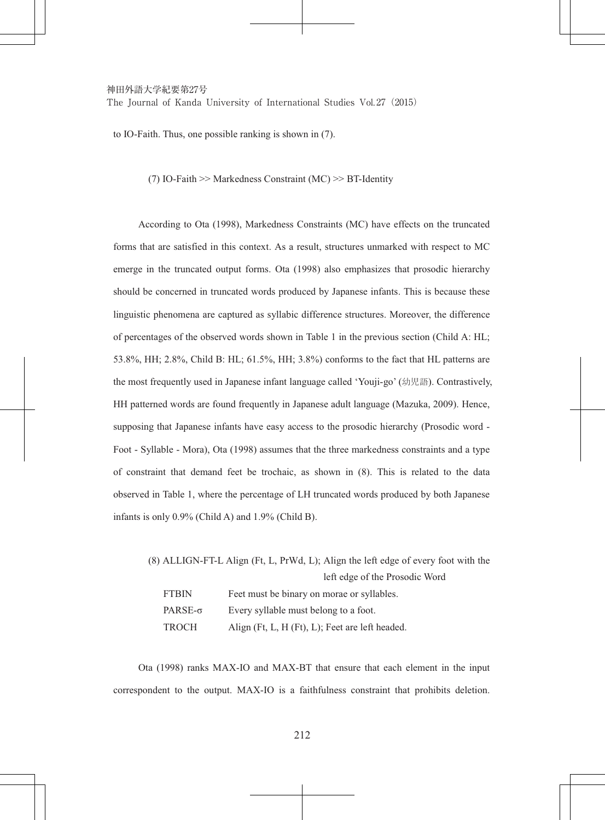The Journal of Kanda University of International Studies Vol. 27 (2015)

to IO-Faith. Thus, one possible ranking is shown in  $(7)$ .

(7) IO-Faith  $\gg$  Markedness Constraint (MC)  $\gg$  BT-Identity

According to Ota (1998), Markedness Constraints (MC) have effects on the truncated forms that are satisfied in this context. As a result, structures unmarked with respect to MC emerge in the truncated output forms. Ota (1998) also emphasizes that prosodic hierarchy should be concerned in truncated words produced by Japanese infants. This is because these linguistic phenomena are captured as syllabic difference structures. Moreover, the difference of percentages of the observed words shown in Table 1 in the previous section (Child A: HL;  $53.8\%$ , HH;  $2.8\%$ , Child B; HL;  $61.5\%$ , HH;  $3.8\%$ ) conforms to the fact that HL patterns are the most frequently used in Japanese infant language called 'Youji-go' (幼児語). Contrastively, HH patterned words are found frequently in Japanese adult language (Mazuka, 2009). Hence, supposing that Japanese infants have easy access to the prosodic hierarchy (Prosodic word -Foot - Syllable - Mora), Ota (1998) assumes that the three markedness constraints and a type of constraint that demand feet be trochaic, as shown in (8). This is related to the data observed in Table 1, where the percentage of LH truncated words produced by both Japanese infants is only  $0.9\%$  (Child A) and  $1.9\%$  (Child B).

 $(8)$  ALLIGN-FT-L Align (Ft, L, PrWd, L); Align the left edge of every foot with the left edge of the Prosodic Word FTBIN Feet must be binary on morae or syllables.  $PARSE-<sub>σ</sub>$  Every syllable must belong to a foot. TROCH Align (Ft, L, H (Ft), L); Feet are left headed.

Ota (1998) ranks MAX-IO and MAX-BT that ensure that each element in the input correspondent to the output. MAX-IO is a faithfulness constraint that prohibits deletion.

212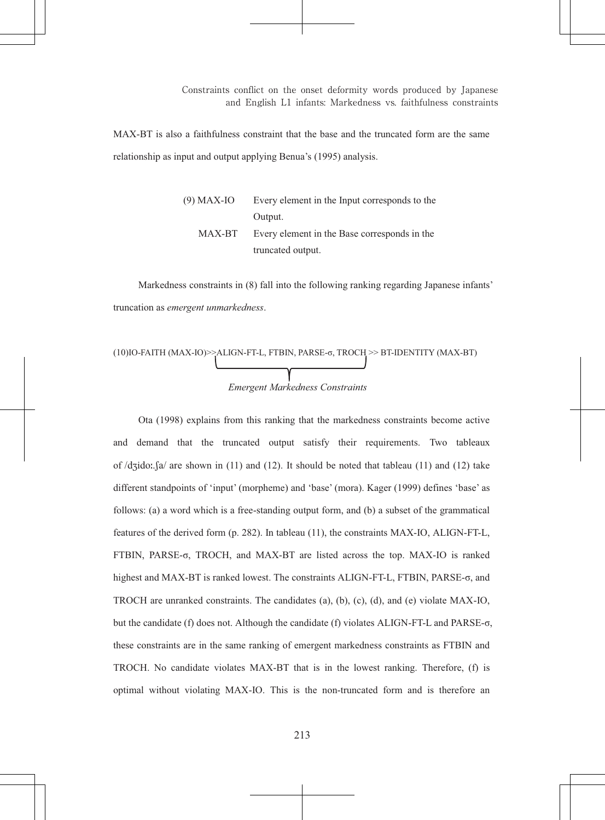MAX-BT is also a faithfulness constraint that the base and the truncated form are the same relationship as input and output applying Benua's (1995) analysis.

| (9) MAX-IO | Every element in the Input corresponds to the |
|------------|-----------------------------------------------|
|            | Output.                                       |
| MAX-BT     | Every element in the Base corresponds in the  |
|            | truncated output.                             |

Markedness constraints in (8) fall into the following ranking regarding Japanese infants' truncation as emergent unmarkedness.

(10)IO-FAITH (MAX-IO)>ALIGN-FTL, FTBIN, PARSE-
$$
\sigma
$$
, TROCH > BT-IDENTITY (MAX-BT)  
Energy Markedness Constraints

Ota (1998) explains from this ranking that the markedness constraints become active and demand that the truncated output satisfy their requirements. Two tableaux of  $\sqrt{dz}$ ido:  $[a]$  are shown in (11) and (12). It should be noted that tableau (11) and (12) take different standpoints of 'input' (morpheme) and 'base' (mora). Kager (1999) defines 'base' as follows: (a) a word which is a free-standing output form, and (b) a subset of the grammatical features of the derived form (p. 282). In tableau (11), the constraints MAX-IO, ALIGN-FT-L, FTBIN, PARSE- $\sigma$ , TROCH, and MAX-BT are listed across the top. MAX-IO is ranked highest and MAX-BT is ranked lowest. The constraints ALIGN-FT-L, FTBIN, PARSE- $\sigma$ , and TROCH are unranked constraints. The candidates (a), (b), (c), (d), and (e) violate MAX-IO, but the candidate (f) does not. Although the candidate (f) violates ALIGN-FT-L and PARSE- $\sigma$ , these constraints are in the same ranking of emergent markedness constraints as FTBIN and TROCH. No candidate violates MAX-BT that is in the lowest ranking. Therefore, (f) is optimal without violating MAX-IO. This is the non-truncated form and is therefore an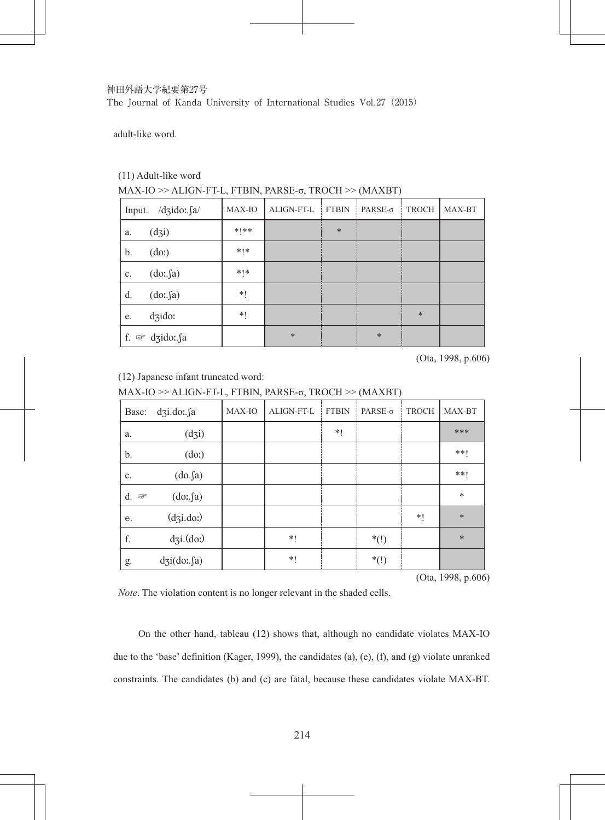## 神田外語大学紀要第27号 The Journal of Kanda University of International Studies Vol. 27 (2015)

adult-like word.

## (11) Adult-like word

## MAX-IO >> ALIGN-FT-L, FTBIN, PARSE-o, TROCH >> (MAXBT)

| $/dzido: \int a$<br>Input.       | MAX-IO        | ALIGN-FT-L | <b>FTBIN</b> | $PARSE-σ$ | <b>TROCH</b> | MAX-BT |
|----------------------------------|---------------|------------|--------------|-----------|--------------|--------|
| (d3)<br>a.                       | $*$   $*$ $*$ |            | $\ast$       |           |              |        |
| (do)<br>b.                       | $*$   $*$     |            |              |           |              |        |
| (do: a)<br>c.                    | $*!*$         |            |              |           |              |        |
| (do: fa)<br>d.                   | *!            |            |              |           |              |        |
| dzido:<br>e.                     | *!            |            |              |           | $\ast$       |        |
| f. $\mathcal{F}$<br>$d$ zido: sa |               | $\ast$     |              | $\ast$    |              |        |

(Ota, 1998, p.606)

(12) Japanese infant truncated word:

MAX-IO >> ALIGN-FT-L, FTBIN, PARSE-σ, TROCH >> (MAXBT)

| Base: | $d$ zi.do: $\int$ a    | MAX-IO | ALIGN-FT-L | <b>FTBIN</b> | $PARSE-σ$ | <b>TROCH</b> | MAX-BT |
|-------|------------------------|--------|------------|--------------|-----------|--------------|--------|
| a.    | (d3)                   |        |            | *!           |           |              | ***    |
| b.    | (do)                   |        |            |              |           |              | $***$  |
| c.    | (do.fa)                |        |            |              |           |              | $***$  |
| d.    | (do: fa)               |        |            |              |           |              | $\ast$ |
| е.    | $(d_3i.d_0)$           |        |            |              |           | *!           | $\ast$ |
| f.    | $d\overline{3}i.(do.)$ |        | *!         |              | $*(!)$    |              | $\ast$ |
| g.    | $d\vec{a}$ (do: $fa$ ) |        | *!         |              | $*(!)$    |              |        |

 $(Ota, 1998, p.606)$ 

*Note*. The violation content is no longer relevant in the shaded cells.

On the other hand, tableau (12) shows that, although no candidate violates MAX-IO due to the 'base' definition (Kager, 1999), the candidates (a), (e), (f), and (g) violate unranked constraints. The candidates (b) and (c) are fatal, because these candidates violate MAX-BT.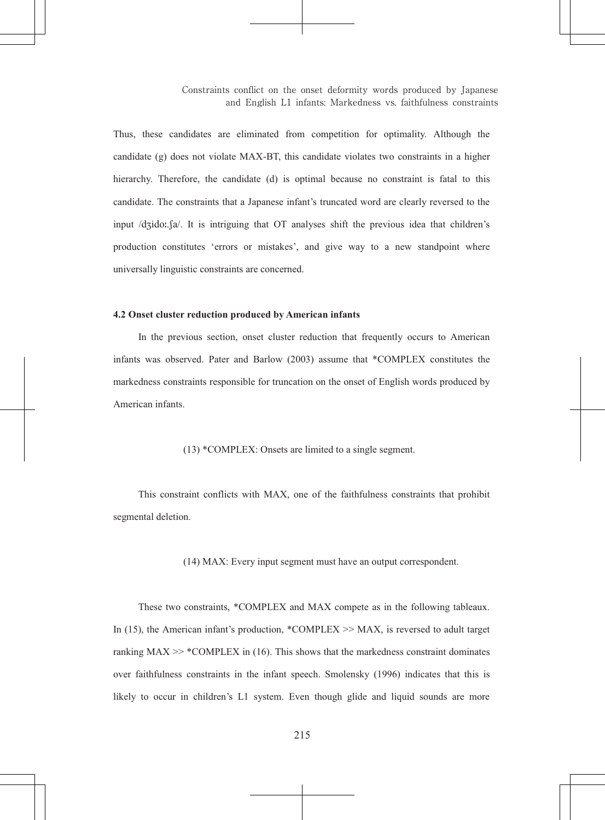Thus, these candidates are eliminated from competition for optimality. Although the candidate  $(g)$  does not violate MAX-BT, this candidate violates two constraints in a higher hierarchy. Therefore, the candidate (d) is optimal because no constraint is fatal to this candidate. The constraints that a Japanese infant's truncated word are clearly reversed to the input /dʒidoː. [a/. It is intriguing that OT analyses shift the previous idea that children's production constitutes 'errors or mistakes', and give way to a new standpoint where universally linguistic constraints are concerned.

### 4.2 Onset cluster reduction produced by American infants

In the previous section, onset cluster reduction that frequently occurs to American infants was observed. Pater and Barlow (2003) assume that \*COMPLEX constitutes the markedness constraints responsible for truncation on the onset of English words produced by American infants

### $(13)$  \*COMPLEX: Onsets are limited to a single segment

This constraint conflicts with MAX, one of the faithfulness constraints that prohibit segmental deletion.

(14) MAX: Every input segment must have an output correspondent.

These two constraints, \*COMPLEX and MAX compete as in the following tableaux. In (15), the American infant's production, \*COMPLEX  $\gg$  MAX, is reversed to adult target ranking  $MAX \gg$  \*COMPLEX in (16). This shows that the markedness constraint dominates over faithfulness constraints in the infant speech. Smolensky (1996) indicates that this is likely to occur in children's L1 system. Even though glide and liquid sounds are more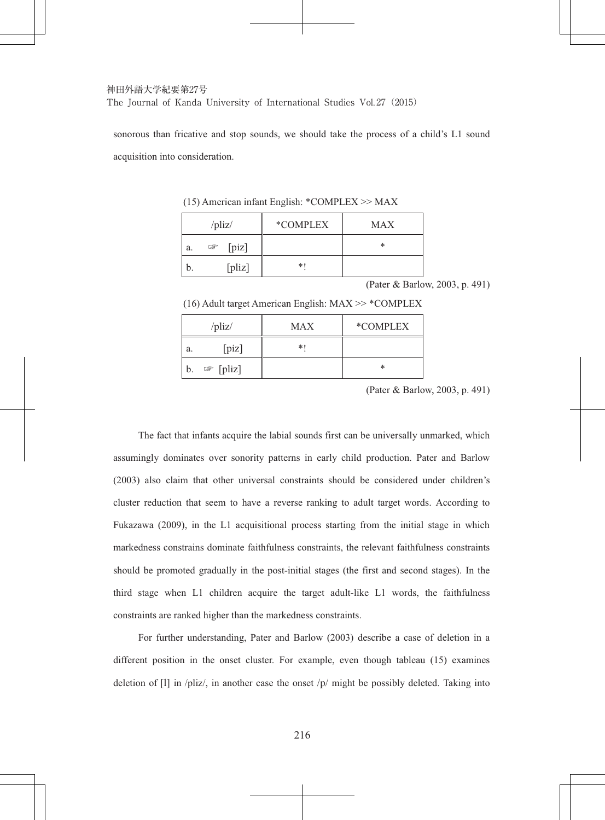sonorous than fricative and stop sounds, we should take the process of a child's L1 sound acquisition into consideration.

|    | $\frac{1}{2}$        | *COMPLEX | <b>MAX</b> |
|----|----------------------|----------|------------|
| a. | $[\text{pix}]$<br>ಡ್ |          | *          |
| b. | [pliz]               | $*1$     |            |

 $(15)$  American infant English: \*COMPLEX >> MAX

(Pater & Barlow, 2003, p. 491)

 $(16)$  Adult target American English: MAX  $\gg$  \*COMPLEX

|    | $\ell$ pliz $\ell$   | <b>MAX</b> | *COMPLEX |
|----|----------------------|------------|----------|
| a. | [piz]                | *1         |          |
| b. | $\mathcal{F}$ [pliz] |            | *        |

(Pater & Barlow, 2003, p. 491)

The fact that infants acquire the labial sounds first can be universally unmarked, which assumingly dominates over sonority patterns in early child production. Pater and Barlow (2003) also claim that other universal constraints should be considered under children's cluster reduction that seem to have a reverse ranking to adult target words. According to Fukazawa (2009), in the L1 acquisitional process starting from the initial stage in which markedness constrains dominate faithfulness constraints, the relevant faithfulness constraints should be promoted gradually in the post-initial stages (the first and second stages). In the third stage when L1 children acquire the target adult-like L1 words, the faithfulness constraints are ranked higher than the markedness constraints.

For further understanding, Pater and Barlow (2003) describe a case of deletion in a different position in the onset cluster. For example, even though tableau (15) examines deletion of [1] in /pliz/, in another case the onset /p/ might be possibly deleted. Taking into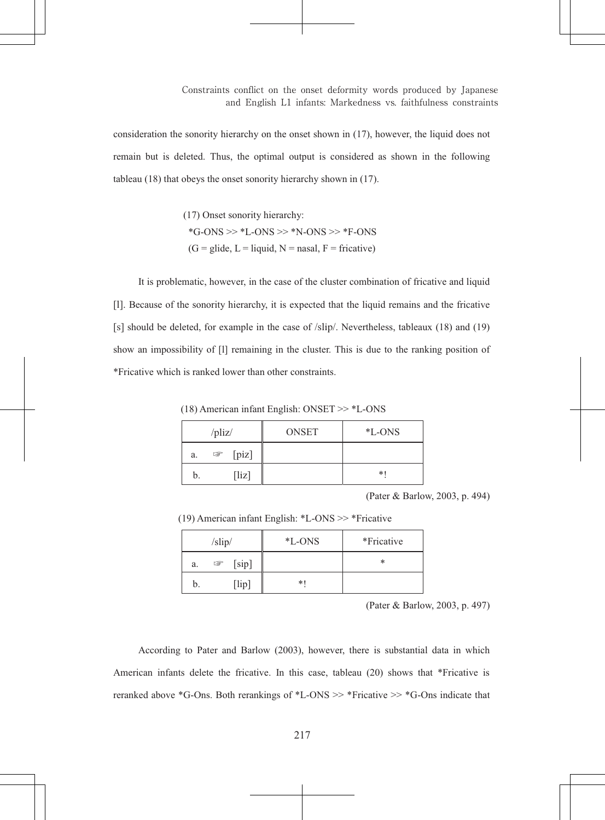consideration the sonority hierarchy on the onset shown in (17), however, the liquid does not remain but is deleted. Thus, the optimal output is considered as shown in the following tableau  $(18)$  that obeys the onset sonority hierarchy shown in  $(17)$ .

> (17) Onset sonority hierarchy: \*G-ONS >> \*L-ONS >> \*N-ONS >> \*F-ONS  $(G = glide, L = liquid, N = nasal, F = fricative)$

It is problematic, however, in the case of the cluster combination of fricative and liquid [1]. Because of the sonority hierarchy, it is expected that the liquid remains and the fricative [s] should be deleted, for example in the case of /slip/, Nevertheless, tableaux (18) and (19) show an impossibility of [1] remaining in the cluster. This is due to the ranking position of \*Fricative which is ranked lower than other constraints.

(18) American infant English: ONSET >> \*L-ONS

|    | $\sqrt{pliz}$       | <b>ONSET</b> | <i>*</i> L-ONS |
|----|---------------------|--------------|----------------|
| a. | [piz]<br>$\sqrt{2}$ |              |                |
| b. | [liz]               |              | *1             |

(Pater & Barlow, 2003, p. 494)

(19) American infant English:  $*$ L-ONS  $\gg$  \*Fricative

| /slip/ |   |                       | *L-ONS | *Fricative |
|--------|---|-----------------------|--------|------------|
| a.     | ☞ | [sip]                 |        | *          |
|        |   | $\lceil$ lip $\rceil$ | *1     |            |

(Pater & Barlow, 2003, p. 497)

According to Pater and Barlow (2003), however, there is substantial data in which American infants delete the fricative. In this case, tableau (20) shows that \*Fricative is reranked above \*G-Ons. Both rerankings of \*L-ONS >> \*Fricative >> \*G-Ons indicate that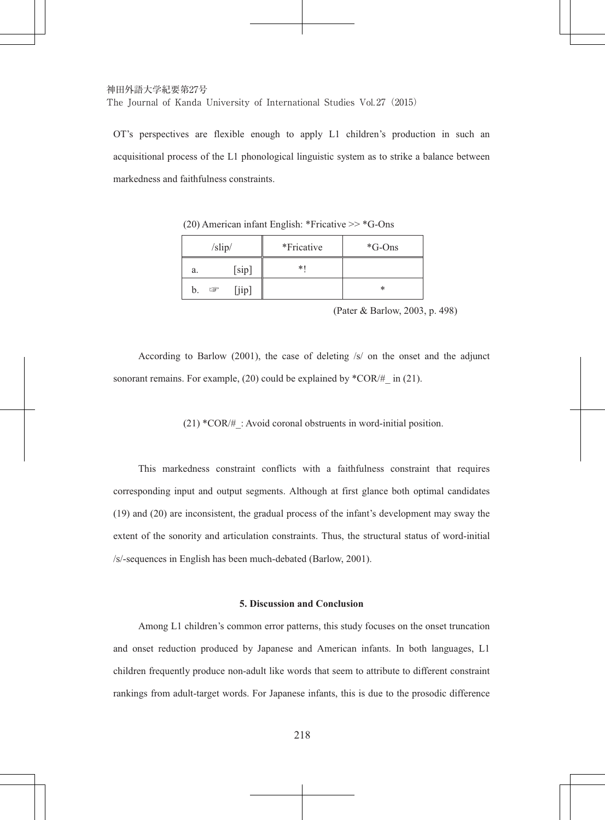OT's perspectives are flexible enough to apply L1 children's production in such an acquisitional process of the L1 phonological linguistic system as to strike a balance between markedness and faithfulness constraints.

| /slip/ |            | *Fricative | $*G$ -Ons |
|--------|------------|------------|-----------|
| a.     | [sip]      | *1         |           |
| b.     | [iip]<br>☞ |            | *         |

 $(20)$  American infant English: \*Fricative >> \*G-Ons

(Pater & Barlow, 2003, p. 498)

According to Barlow (2001), the case of deleting  $/s/$  on the onset and the adjunct sonorant remains. For example, (20) could be explained by  $^*COR/H$  in (21).

 $(21)$  \*COR/# : Avoid coronal obstruents in word-initial position.

This markedness constraint conflicts with a faithfulness constraint that requires corresponding input and output segments. Although at first glance both optimal candidates (19) and (20) are inconsistent, the gradual process of the infant's development may sway the extent of the sonority and articulation constraints. Thus, the structural status of word-initial /s/-sequences in English has been much-debated (Barlow, 2001).

### 5. Discussion and Conclusion

Among L1 children's common error patterns, this study focuses on the onset truncation and onset reduction produced by Japanese and American infants. In both languages, L1 children frequently produce non-adult like words that seem to attribute to different constraint rankings from adult-target words. For Japanese infants, this is due to the prosodic difference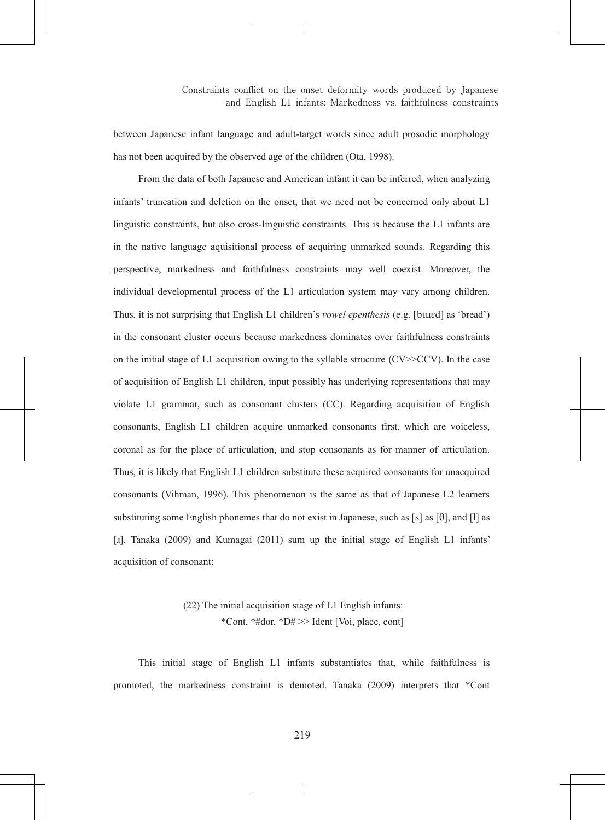between Japanese infant language and adult-target words since adult prosodic morphology has not been acquired by the observed age of the children (Ota, 1998).

From the data of both Japanese and American infant it can be inferred, when analyzing infants' truncation and deletion on the onset, that we need not be concerned only about L1 linguistic constraints, but also cross-linguistic constraints. This is because the L1 infants are in the native language aquisitional process of acquiring unmarked sounds. Regarding this perspective, markedness and faithfulness constraints may well coexist. Moreover, the individual developmental process of the L1 articulation system may vary among children. Thus, it is not surprising that English L1 children's *vowel epenthesis* (e.g. [bured] as 'bread') in the consonant cluster occurs because markedness dominates over faithfulness constraints on the initial stage of L1 acquisition owing to the syllable structure  $(CV>>CCV)$ . In the case of acquisition of English L1 children, input possibly has underlying representations that may violate L1 grammar, such as consonant clusters (CC). Regarding acquisition of English consonants, English L1 children acquire unmarked consonants first, which are voiceless, coronal as for the place of articulation, and stop consonants as for manner of articulation. Thus, it is likely that English L1 children substitute these acquired consonants for unacquired consonants (Vihman, 1996). This phenomenon is the same as that of Japanese L2 learners substituting some English phonemes that do not exist in Japanese, such as [s] as [θ], and [l] as [1]. Tanaka (2009) and Kumagai (2011) sum up the initial stage of English L1 infants' acquisition of consonant:

> (22) The initial acquisition stage of L1 English infants: \*Cont. \*#dor. \*D# >> Ident [Voi. place. cont]

This initial stage of English L1 infants substantiates that, while faithfulness is promoted, the markedness constraint is demoted. Tanaka (2009) interprets that \*Cont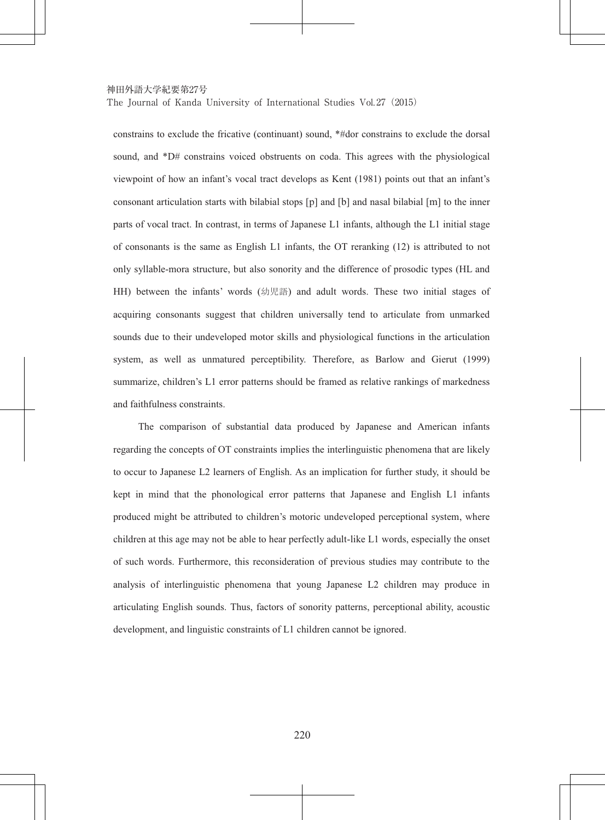The Journal of Kanda University of International Studies Vol. 27 (2015)

constrains to exclude the fricative (continuant) sound, \*#dor constrains to exclude the dorsal sound, and \*D# constrains voiced obstruents on coda. This agrees with the physiological viewpoint of how an infant's vocal tract develops as Kent (1981) points out that an infant's consonant articulation starts with bilabial stops [p] and [b] and nasal bilabial [m] to the inner parts of vocal tract. In contrast, in terms of Japanese L1 infants, although the L1 initial stage of consonants is the same as English L1 infants, the OT reranking (12) is attributed to not only syllable-mora structure, but also sonority and the difference of prosodic types (HL and HH) between the infants' words (幼児語) and adult words. These two initial stages of acquiring consonants suggest that children universally tend to articulate from unmarked sounds due to their undeveloped motor skills and physiological functions in the articulation system, as well as unmatured perceptibility. Therefore, as Barlow and Gierut (1999) summarize, children's L1 error patterns should be framed as relative rankings of markedness and faithfulness constraints.

The comparison of substantial data produced by Japanese and American infants regarding the concepts of OT constraints implies the interlinguistic phenomena that are likely to occur to Japanese L2 learners of English. As an implication for further study, it should be kept in mind that the phonological error patterns that Japanese and English L1 infants produced might be attributed to children's motoric undeveloped perceptional system, where children at this age may not be able to hear perfectly adult-like L1 words, especially the onset of such words. Furthermore, this reconsideration of previous studies may contribute to the analysis of interlinguistic phenomena that young Japanese L2 children may produce in articulating English sounds. Thus, factors of sonority patterns, perceptional ability, acoustic development, and linguistic constraints of L1 children cannot be ignored.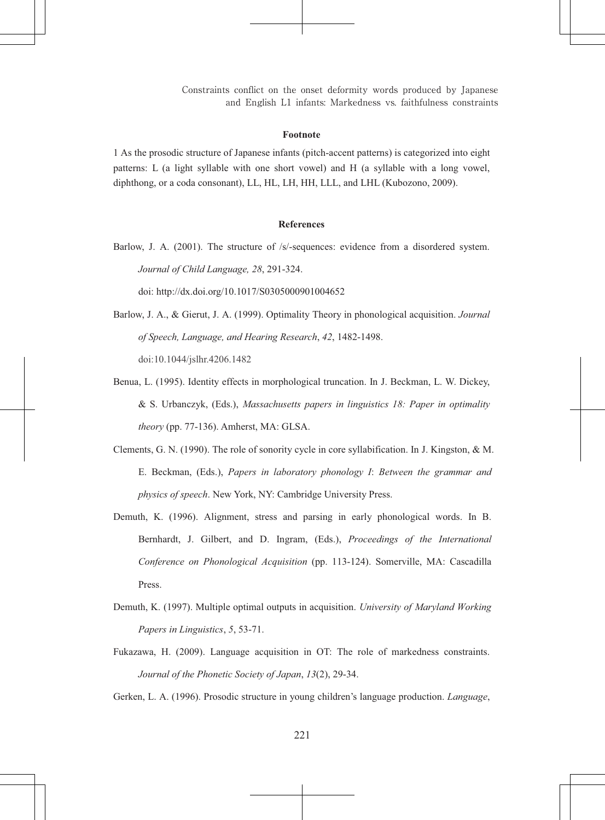Constraints conflict on the onset deformity words produced by Japanese and English L1 infants: Markedness vs. faithfulness constraints

### **Footnote**

1 As the prosodic structure of Japanese infants (pitch-accent patterns) is categorized into eight patterns: L (a light syllable with one short vowel) and H (a syllable with a long vowel, diphthong, or a coda consonant), LL, HL, LH, HH, LLL, and LHL (Kubozono, 2009).

## **References**

Barlow, J. A.  $(2001)$ . The structure of /s/-sequences: evidence from a disordered system. Journal of Child Language, 28, 291-324.

doi: http://dx.doi.org/10.1017/S0305000901004652

- Barlow, J. A., & Gierut, J. A. (1999). Optimality Theory in phonological acquisition. Journal of Speech, Language, and Hearing Research, 42, 1482-1498. doi:10.1044/jslhr.4206.1482
- Benua, L. (1995). Identity effects in morphological truncation. In J. Beckman, L. W. Dickey, & S. Urbanczyk, (Eds.), Massachusetts papers in linguistics 18: Paper in optimality theory (pp. 77-136). Amherst, MA: GLSA.
- Clements, G. N. (1990). The role of sonority cycle in core syllabification. In J. Kingston, & M. E. Beckman, (Eds.), Papers in laboratory phonology I: Between the grammar and *physics of speech.* New York, NY: Cambridge University Press.
- Demuth, K. (1996). Alignment, stress and parsing in early phonological words. In B. Bernhardt, J. Gilbert, and D. Ingram, (Eds.), Proceedings of the International Conference on Phonological Acquisition (pp. 113-124). Somerville, MA: Cascadilla Press
- Demuth, K. (1997). Multiple optimal outputs in acquisition. University of Maryland Working Papers in Linguistics, 5, 53-71.
- Fukazawa, H. (2009). Language acquisition in OT: The role of markedness constraints. Journal of the Phonetic Society of Japan, 13(2), 29-34.

Gerken, L. A. (1996). Prosodic structure in young children's language production. *Language*,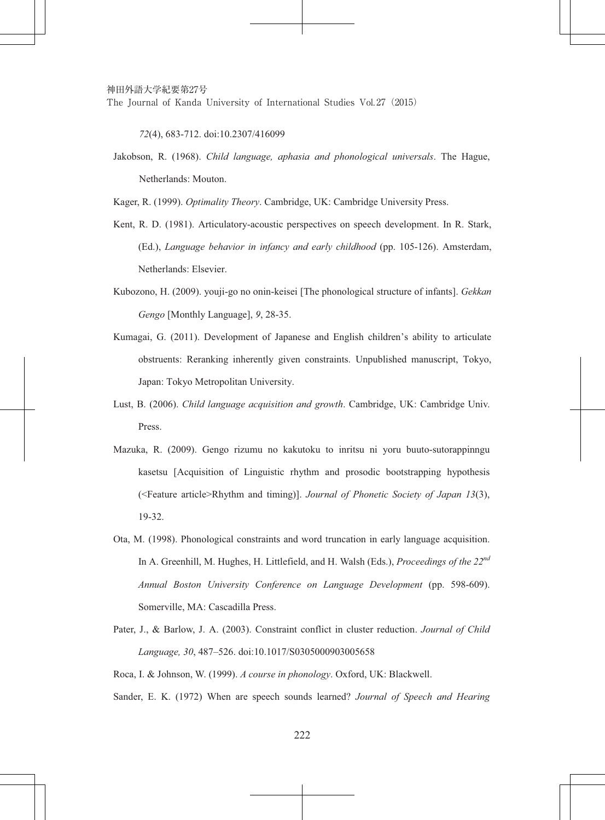72(4), 683-712, doi:10.2307/416099

Jakobson, R. (1968). *Child language, aphasia and phonological universals*. The Hague, Netherlands: Mouton.

Kager, R. (1999). *Optimality Theory*. Cambridge, UK: Cambridge University Press.

- Kent, R. D. (1981). Articulatory-acoustic perspectives on speech development. In R. Stark, (Ed.), *Language behavior in infancy and early childhood* (pp. 105-126). Amsterdam, Netherlands: Elsevier.
- Kubozono, H. (2009). youji-go no onin-keisei [The phonological structure of infants]. Gekkan *Gengo* [Monthly Language], 9, 28-35.
- Kumagai, G. (2011). Development of Japanese and English children's ability to articulate obstruents: Reranking inherently given constraints. Unpublished manuscript, Tokyo, Japan: Tokyo Metropolitan University.
- Lust, B. (2006). *Child language acauisition and growth*. Cambridge, UK: Cambridge Univ. Press.
- Mazuka, R. (2009). Gengo rizumu no kakutoku to inritsu ni voru buuto-sutorappinngu kasetsu [Acquisition of Linguistic rhythm and prosodic bootstrapping hypothesis (<Feature article>Rhythm and timing)]. *Journal of Phonetic Society of Japan 13(3)*, 19-32.
- Ota, M. (1998). Phonological constraints and word truncation in early language acquisition. In A. Greenhill, M. Hughes, H. Littlefield, and H. Walsh (Eds.), *Proceedings of the 22<sup>nd</sup> Annual Boston University Conference on Language Development* (pp. 598-609). Somerville, MA: Cascadilla Press.
- Pater, J., & Barlow, J. A. (2003). Constraint conflict in cluster reduction. *Journal of Child Language*, 30, 487-526, doi:10.1017/S0305000903005658

Roca, I. & Johnson, W. (1999). *A course in phonology*. Oxford, UK: Blackwell.

Sander. E. K. (1972) When are speech sounds learned? *Journal of Speech and Hearing*